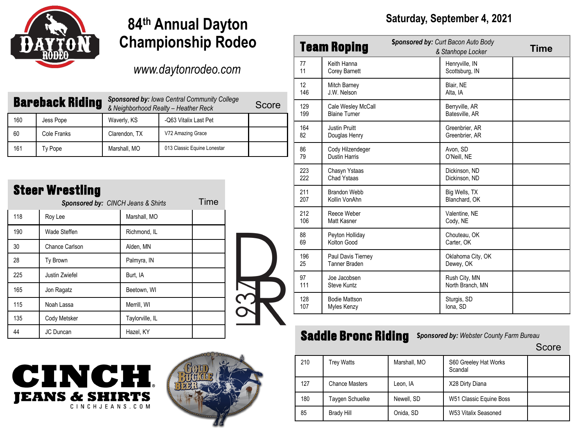

# **84th Annual Dayton Championship Rodeo**

#### *www.daytonrodeo.com*

| <b>Bareback Riding</b> |             | <b>Sponsored by: Iowa Central Community College</b><br>& Neighborhood Realty - Heather Reck | Score                       |  |
|------------------------|-------------|---------------------------------------------------------------------------------------------|-----------------------------|--|
| 160                    | Jess Pope   | Waverly, KS                                                                                 | -Q63 Vitalix Last Pet       |  |
| 60                     | Cole Franks | Clarendon, TX                                                                               | V72 Amazing Grace           |  |
| 161                    | Ty Pope     | Marshall, MO                                                                                | 013 Classic Equine Lonestar |  |

#### **Steer Wrestling**

| Sponsored by: CINCH Jeans & Shirts |                | Time            | 207                               | Kollin VonAhn | Blanchard, OK                       |                                                 |       |
|------------------------------------|----------------|-----------------|-----------------------------------|---------------|-------------------------------------|-------------------------------------------------|-------|
| 118                                | Roy Lee        | Marshall, MO    |                                   | 212<br>106    | Reece Weber<br>Matt Kasner          | Valentine, NE<br>Cody, NE                       |       |
| 190                                | Wade Steffen   | Richmond, IL    |                                   | 88            | Peyton Holliday                     | Chouteau, OK                                    |       |
| 30                                 | Chance Carlson | Alden, MN       |                                   | 69            | Kolton Good                         | Carter, OK                                      |       |
| 28                                 | Ty Brown       | Palmyra, IN     |                                   | 196<br>25     | Paul Davis Tierney<br>Tanner Braden | Oklahoma City, OK<br>Dewey, OK                  |       |
| 225                                | Justin Zwiefel | Burt, IA        |                                   | 97            | Joe Jacobsen                        | Rush City, MN                                   |       |
| 165                                | Jon Ragatz     | Beetown, WI     |                                   | 111           | Steve Kuntz                         | North Branch, MN                                |       |
| 115                                | Noah Lassa     | Merrill, WI     |                                   | 128<br>107    | <b>Bodie Mattson</b><br>Myles Kenzy | Sturgis, SD<br>Iona, SD                         |       |
| 135                                | Cody Metsker   | Taylorville, IL |                                   |               |                                     |                                                 |       |
| 44                                 | JC Duncan      | Hazel, KY       |                                   |               | <b>Saddle Bronc Riding</b>          | <b>Sponsored by: Webster County Farm Bureau</b> |       |
|                                    |                |                 | and the property of the company's |               |                                     |                                                 | Score |





#### **Saturday, September 4, 2021**

|            | <b>Team Roping</b>                         | <b>Sponsored by: Curt Bacon Auto Body</b><br>& Stanhope Locker | Time |
|------------|--------------------------------------------|----------------------------------------------------------------|------|
| 77<br>11   | Keith Hanna<br>Corey Barnett               | Henryville, IN<br>Scottsburg, IN                               |      |
| 12<br>146  | Mitch Barney<br>J.W. Nelson                | Blair, NE<br>Alta, IA                                          |      |
| 129<br>199 | Cale Wesley McCall<br><b>Blaine Turner</b> | Berryville, AR<br>Batesville, AR                               |      |
| 164<br>82  | <b>Justin Pruitt</b><br>Douglas Henry      | Greenbrier, AR<br>Greenbrier, AR                               |      |
| 86<br>79   | Cody Hilzendeger<br><b>Dustin Harris</b>   | Avon, SD<br>O'Neill, NE                                        |      |
| 223<br>222 | Chasyn Ystaas<br>Chad Ystaas               | Dickinson, ND<br>Dickinson, ND                                 |      |
| 211<br>207 | Brandon Webb<br>Kollin VonAhn              | Big Wells, TX<br>Blanchard, OK                                 |      |
| 212<br>106 | Reece Weber<br>Matt Kasner                 | Valentine, NE<br>Cody, NE                                      |      |
| 88<br>69   | Peyton Holliday<br>Kolton Good             | Chouteau, OK<br>Carter, OK                                     |      |
| 196<br>25  | Paul Davis Tierney<br>Tanner Braden        | Oklahoma City, OK<br>Dewey, OK                                 |      |
| 97<br>111  | Joe Jacobsen<br><b>Steve Kuntz</b>         | Rush City, MN<br>North Branch, MN                              |      |
| 128<br>107 | <b>Bodie Mattson</b><br>Myles Kenzy        | Sturgis, SD<br>Iona, SD                                        |      |

| 210 | Trey Watts            | Marshall, MO | S60 Greeley Hat Works<br>Scandal |  |
|-----|-----------------------|--------------|----------------------------------|--|
| 127 | <b>Chance Masters</b> | Leon, IA     | X28 Dirty Diana                  |  |
| 180 | Taygen Schuelke       | Newell, SD   | W51 Classic Equine Boss          |  |
| 85  | <b>Brady Hill</b>     | Onida, SD    | W53 Vitalix Seasoned             |  |